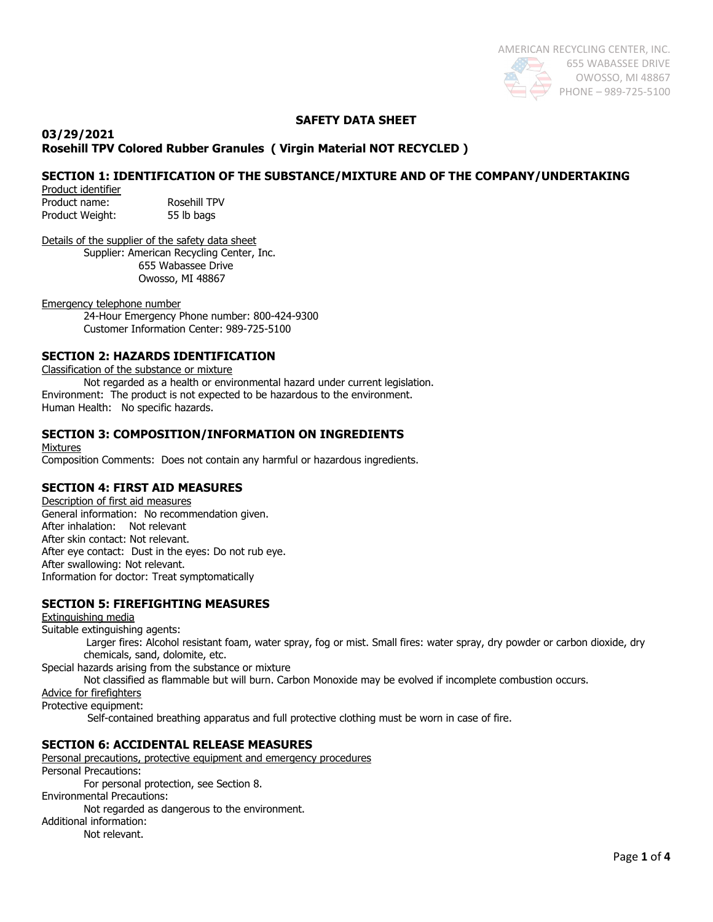## **SAFETY DATA SHEET**

#### **03/29/2021 Rosehill TPV Colored Rubber Granules ( Virgin Material NOT RECYCLED )**

# **SECTION 1: IDENTIFICATION OF THE SUBSTANCE/MIXTURE AND OF THE COMPANY/UNDERTAKING**

Product identifier Product name: Rosehill TPV Product Weight: 55 lb bags

Details of the supplier of the safety data sheet Supplier: American Recycling Center, Inc.

 655 Wabassee Drive Owosso, MI 48867

Emergency telephone number

24-Hour Emergency Phone number: 800-424-9300 Customer Information Center: 989-725-5100

# **SECTION 2: HAZARDS IDENTIFICATION**

Classification of the substance or mixture

Not regarded as a health or environmental hazard under current legislation. Environment: The product is not expected to be hazardous to the environment. Human Health: No specific hazards.

#### **SECTION 3: COMPOSITION/INFORMATION ON INGREDIENTS**

Mixtures

Composition Comments: Does not contain any harmful or hazardous ingredients.

#### **SECTION 4: FIRST AID MEASURES**

Description of first aid measures General information: No recommendation given. After inhalation: Not relevant After skin contact: Not relevant. After eye contact: Dust in the eyes: Do not rub eye. After swallowing: Not relevant. Information for doctor: Treat symptomatically

## **SECTION 5: FIREFIGHTING MEASURES**

Extinguishing media Suitable extinguishing agents: Larger fires: Alcohol resistant foam, water spray, fog or mist. Small fires: water spray, dry powder or carbon dioxide, dry chemicals, sand, dolomite, etc. Special hazards arising from the substance or mixture

Not classified as flammable but will burn. Carbon Monoxide may be evolved if incomplete combustion occurs.

Advice for firefighters

Protective equipment:

Self-contained breathing apparatus and full protective clothing must be worn in case of fire.

# **SECTION 6: ACCIDENTAL RELEASE MEASURES**

Personal precautions, protective equipment and emergency procedures Personal Precautions: For personal protection, see Section 8. Environmental Precautions: Not regarded as dangerous to the environment. Additional information: Not relevant.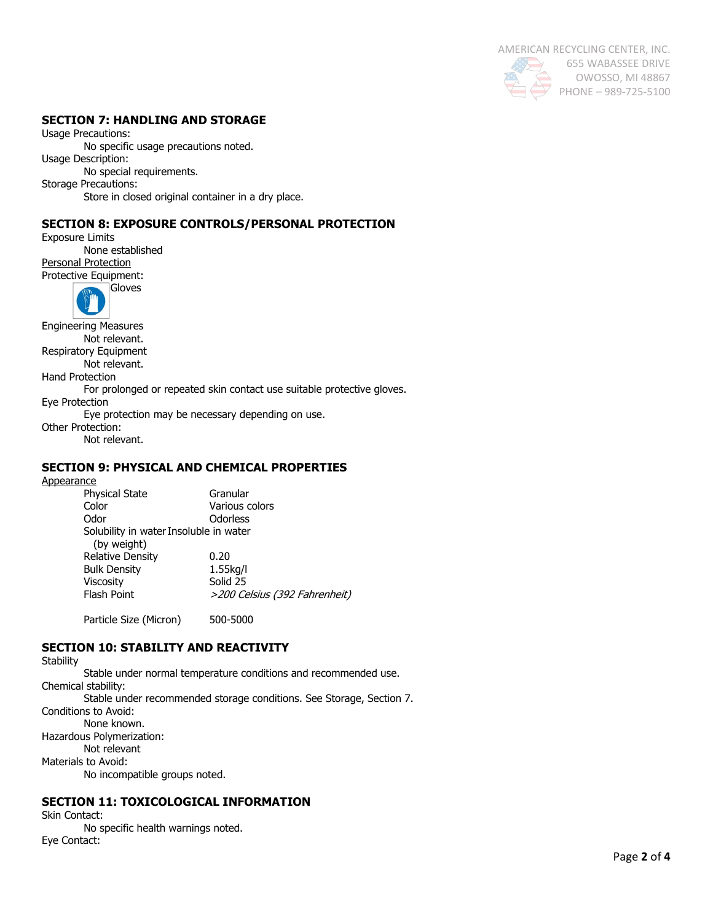AMERICAN RECYCLING CENTER, INC. 655 WABASSEE DRIVE OWOSSO, MI 48867 PHONE – 989-725-5100

## **SECTION 7: HANDLING AND STORAGE**

Usage Precautions: No specific usage precautions noted. Usage Description: No special requirements. Storage Precautions: Store in closed original container in a dry place.

# **SECTION 8: EXPOSURE CONTROLS/PERSONAL PROTECTION**

Exposure Limits None established Personal Protection Protective Equipment:



Engineering Measures Not relevant. Respiratory Equipment Not relevant. Hand Protection For prolonged or repeated skin contact use suitable protective gloves. Eye Protection Eye protection may be necessary depending on use. Other Protection:

Not relevant.

## **SECTION 9: PHYSICAL AND CHEMICAL PROPERTIES**

**Appearance** 

| <b>Physical State</b>                  | Granular                      |  |  |
|----------------------------------------|-------------------------------|--|--|
| Color                                  | Various colors                |  |  |
| Odor                                   | Odorless                      |  |  |
| Solubility in water Insoluble in water |                               |  |  |
| (by weight)                            |                               |  |  |
| <b>Relative Density</b>                | 0.20                          |  |  |
| <b>Bulk Density</b>                    | $1.55$ kg/l                   |  |  |
| <b>Viscosity</b>                       | Solid 25                      |  |  |
| <b>Flash Point</b>                     | >200 Celsius (392 Fahrenheit) |  |  |
|                                        |                               |  |  |

Particle Size (Micron) 500-5000

# **SECTION 10: STABILITY AND REACTIVITY**

**Stability** Stable under normal temperature conditions and recommended use. Chemical stability: Stable under recommended storage conditions. See Storage, Section 7. Conditions to Avoid: None known. Hazardous Polymerization: Not relevant Materials to Avoid: No incompatible groups noted.

# **SECTION 11: TOXICOLOGICAL INFORMATION**

Skin Contact:

No specific health warnings noted. Eye Contact: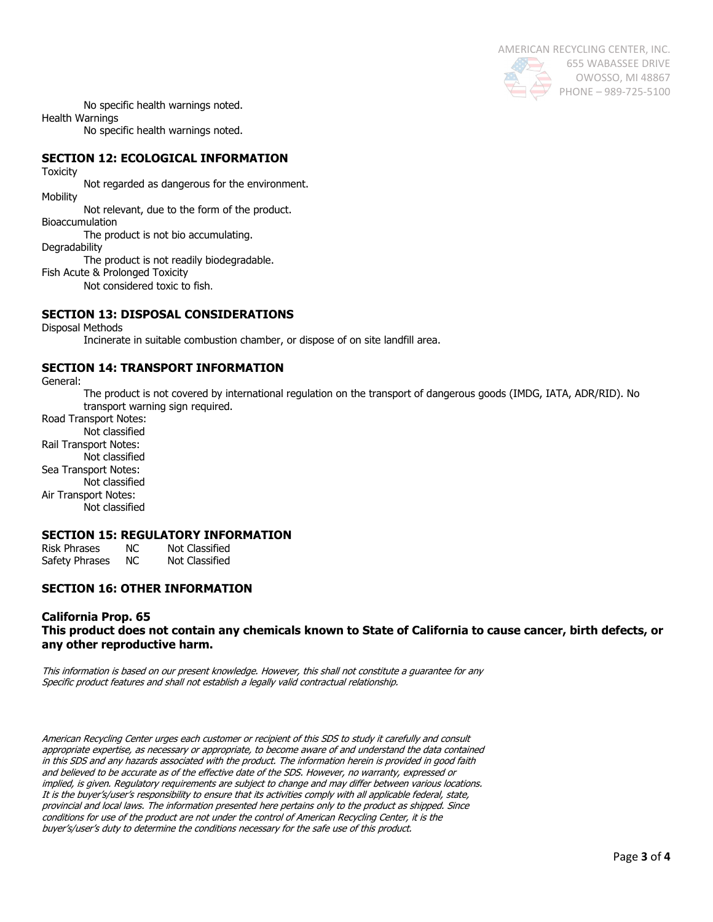

No specific health warnings noted.

Health Warnings

No specific health warnings noted.

# **SECTION 12: ECOLOGICAL INFORMATION**

**Toxicity** 

Not regarded as dangerous for the environment.

**Mobility** 

Not relevant, due to the form of the product.

Bioaccumulation The product is not bio accumulating.

**Degradability** 

The product is not readily biodegradable.

Fish Acute & Prolonged Toxicity

Not considered toxic to fish.

# **SECTION 13: DISPOSAL CONSIDERATIONS**

Disposal Methods

Incinerate in suitable combustion chamber, or dispose of on site landfill area.

#### **SECTION 14: TRANSPORT INFORMATION**

General:

The product is not covered by international regulation on the transport of dangerous goods (IMDG, IATA, ADR/RID). No transport warning sign required.

Road Transport Notes: Not classified Rail Transport Notes: Not classified Sea Transport Notes: Not classified Air Transport Notes: Not classified

## **SECTION 15: REGULATORY INFORMATION**

| Risk Phrases   | NC. | Not Classified |
|----------------|-----|----------------|
| Safety Phrases | NC. | Not Classified |

## **SECTION 16: OTHER INFORMATION**

#### **California Prop. 65 This product does not contain any chemicals known to State of California to cause cancer, birth defects, or any other reproductive harm.**

This information is based on our present knowledge. However, this shall not constitute a guarantee for any Specific product features and shall not establish a legally valid contractual relationship.

American Recycling Center urges each customer or recipient of this SDS to study it carefully and consult appropriate expertise, as necessary or appropriate, to become aware of and understand the data contained in this SDS and any hazards associated with the product. The information herein is provided in good faith and believed to be accurate as of the effective date of the SDS. However, no warranty, expressed or implied, is given. Regulatory requirements are subject to change and may differ between various locations. It is the buyer's/user's responsibility to ensure that its activities comply with all applicable federal, state, provincial and local laws. The information presented here pertains only to the product as shipped. Since conditions for use of the product are not under the control of American Recycling Center, it is the buyer's/user's duty to determine the conditions necessary for the safe use of this product.